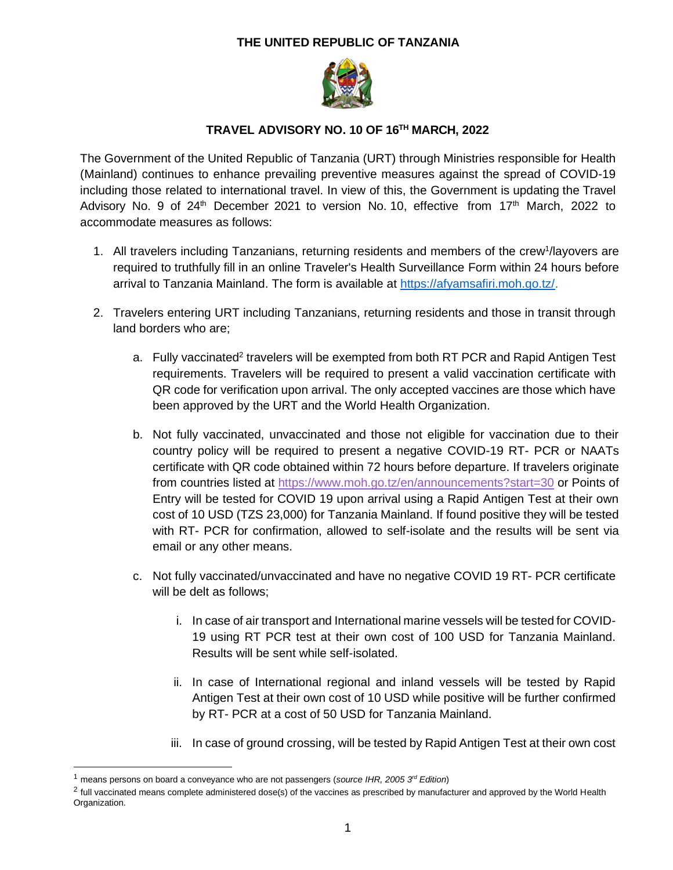## **THE UNITED REPUBLIC OF TANZANIA**



## **TRAVEL ADVISORY NO. 10 OF 16TH MARCH, 2022**

The Government of the United Republic of Tanzania (URT) through Ministries responsible for Health (Mainland) continues to enhance prevailing preventive measures against the spread of COVID-19 including those related to international travel. In view of this, the Government is updating the Travel Advisory No. 9 of  $24<sup>th</sup>$  December 2021 to version No. 10, effective from 17<sup>th</sup> March, 2022 to accommodate measures as follows:

- 1. All travelers including Tanzanians, returning residents and members of the crew<sup>1</sup>/layovers are required to truthfully fill in an online Traveler's Health Surveillance Form within 24 hours before arrival to Tanzania Mainland. The form is available at [https://afyamsafiri.moh.go.tz/.](https://afyamsafiri.moh.go.tz/)
- 2. Travelers entering URT including Tanzanians, returning residents and those in transit through land borders who are;
	- a. Fully vaccinated<sup>2</sup> travelers will be exempted from both RT PCR and Rapid Antigen Test requirements. Travelers will be required to present a valid vaccination certificate with QR code for verification upon arrival. The only accepted vaccines are those which have been approved by the URT and the World Health Organization.
	- b. Not fully vaccinated, unvaccinated and those not eligible for vaccination due to their country policy will be required to present a negative COVID-19 RT- PCR or NAATs certificate with QR code obtained within 72 hours before departure. If travelers originate from countries listed at <https://www.moh.go.tz/en/announcements?start=30> or Points of Entry will be tested for COVID 19 upon arrival using a Rapid Antigen Test at their own cost of 10 USD (TZS 23,000) for Tanzania Mainland. If found positive they will be tested with RT- PCR for confirmation, allowed to self-isolate and the results will be sent via email or any other means.
	- c. Not fully vaccinated/unvaccinated and have no negative COVID 19 RT- PCR certificate will be delt as follows;
		- i. In case of air transport and International marine vessels will be tested for COVID-19 using RT PCR test at their own cost of 100 USD for Tanzania Mainland. Results will be sent while self-isolated.
		- ii. In case of International regional and inland vessels will be tested by Rapid Antigen Test at their own cost of 10 USD while positive will be further confirmed by RT- PCR at a cost of 50 USD for Tanzania Mainland.
		- iii. In case of ground crossing, will be tested by Rapid Antigen Test at their own cost

<sup>1</sup> means persons on board a conveyance who are not passengers (*source IHR, 2005 3rd Edition*)

 $^2$  full vaccinated means complete administered dose(s) of the vaccines as prescribed by manufacturer and approved by the World Health Organization.